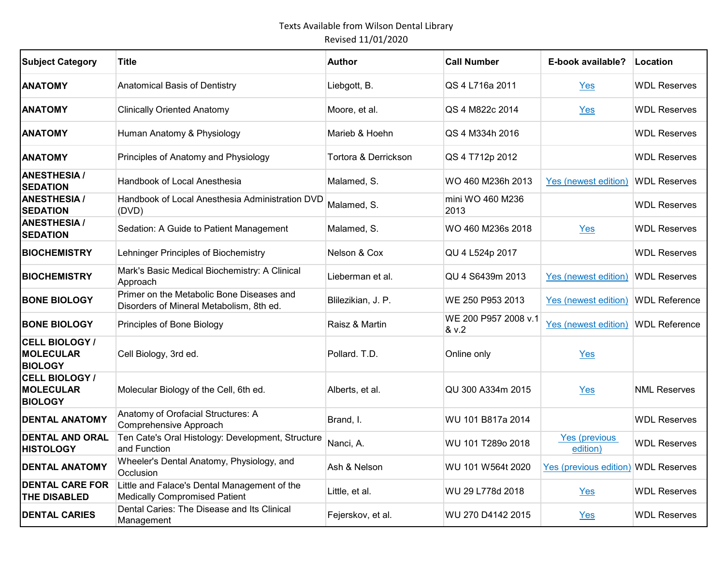| <b>Subject Category</b>                                     | Title                                                                                 | <b>Author</b>        | <b>Call Number</b>            | E-book available?                   | Location             |
|-------------------------------------------------------------|---------------------------------------------------------------------------------------|----------------------|-------------------------------|-------------------------------------|----------------------|
| <b>ANATOMY</b>                                              | Anatomical Basis of Dentistry                                                         | Liebgott, B.         | QS 4 L716a 2011               | Yes                                 | <b>WDL Reserves</b>  |
| <b>ANATOMY</b>                                              | <b>Clinically Oriented Anatomy</b>                                                    | Moore, et al.        | QS 4 M822c 2014               | Yes                                 | <b>WDL Reserves</b>  |
| <b>ANATOMY</b>                                              | Human Anatomy & Physiology                                                            | Marieb & Hoehn       | QS 4 M334h 2016               |                                     | <b>WDL Reserves</b>  |
| <b>ANATOMY</b>                                              | Principles of Anatomy and Physiology                                                  | Tortora & Derrickson | QS 4 T712p 2012               |                                     | <b>WDL Reserves</b>  |
| <b>ANESTHESIA /</b><br><b>SEDATION</b>                      | Handbook of Local Anesthesia                                                          | Malamed, S.          | WO 460 M236h 2013             | Yes (newest edition)                | <b>WDL Reserves</b>  |
| <b>ANESTHESIA /</b><br><b>SEDATION</b>                      | Handbook of Local Anesthesia Administration DVD<br>(DVD)                              | Malamed, S.          | mini WO 460 M236<br>2013      |                                     | <b>WDL Reserves</b>  |
| <b>ANESTHESIA /</b><br><b>SEDATION</b>                      | Sedation: A Guide to Patient Management                                               | Malamed, S.          | WO 460 M236s 2018             | Yes                                 | <b>WDL Reserves</b>  |
| <b>BIOCHEMISTRY</b>                                         | Lehninger Principles of Biochemistry                                                  | Nelson & Cox         | QU 4 L524p 2017               |                                     | <b>WDL Reserves</b>  |
| <b>BIOCHEMISTRY</b>                                         | Mark's Basic Medical Biochemistry: A Clinical<br>Approach                             | Lieberman et al.     | QU 4 S6439m 2013              | Yes (newest edition)                | <b>WDL Reserves</b>  |
| <b>BONE BIOLOGY</b>                                         | Primer on the Metabolic Bone Diseases and<br>Disorders of Mineral Metabolism, 8th ed. | Blilezikian, J. P.   | WE 250 P953 2013              | Yes (newest edition)                | <b>WDL Reference</b> |
| <b>BONE BIOLOGY</b>                                         | Principles of Bone Biology                                                            | Raisz & Martin       | WE 200 P957 2008 v.1<br>& v.2 | Yes (newest edition)                | <b>WDL Reference</b> |
| <b>CELL BIOLOGY /</b><br><b>MOLECULAR</b><br><b>BIOLOGY</b> | Cell Biology, 3rd ed.                                                                 | Pollard. T.D.        | Online only                   | Yes                                 |                      |
| CELL BIOLOGY /<br><b>MOLECULAR</b><br><b>BIOLOGY</b>        | Molecular Biology of the Cell, 6th ed.                                                | Alberts, et al.      | QU 300 A334m 2015             | Yes                                 | <b>NML Reserves</b>  |
| <b>DENTAL ANATOMY</b>                                       | Anatomy of Orofacial Structures: A<br>Comprehensive Approach                          | Brand, I.            | WU 101 B817a 2014             |                                     | <b>WDL Reserves</b>  |
| <b>DENTAL AND ORAL</b><br><b>HISTOLOGY</b>                  | Ten Cate's Oral Histology: Development, Structure<br>and Function                     | Nanci, A.            | WU 101 T289o 2018             | Yes (previous<br>edition)           | <b>WDL Reserves</b>  |
| <b>DENTAL ANATOMY</b>                                       | Wheeler's Dental Anatomy, Physiology, and<br>Occlusion                                | Ash & Nelson         | WU 101 W564t 2020             | Yes (previous edition) WDL Reserves |                      |
| <b>DENTAL CARE FOR</b><br>THE DISABLED                      | Little and Falace's Dental Management of the<br><b>Medically Compromised Patient</b>  | Little, et al.       | WU 29 L778d 2018              | Yes                                 | <b>WDL Reserves</b>  |
| <b>DENTAL CARIES</b>                                        | Dental Caries: The Disease and Its Clinical<br>Management                             | Fejerskov, et al.    | WU 270 D4142 2015             | Yes                                 | <b>WDL Reserves</b>  |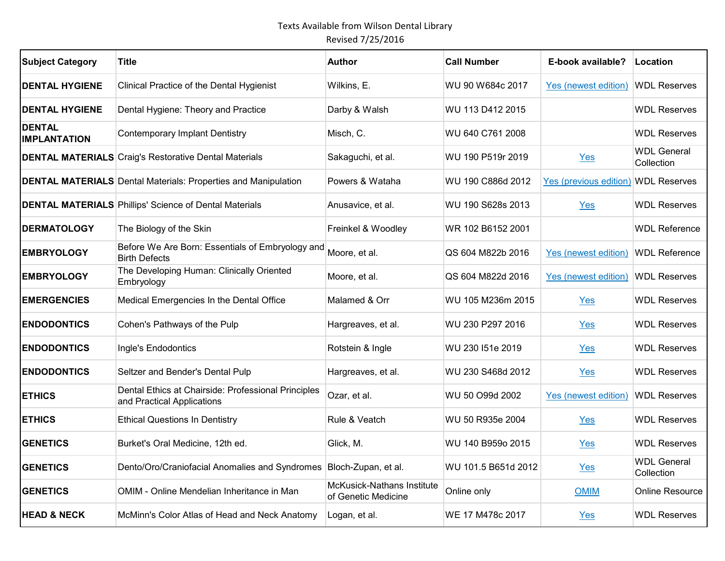| <b>Subject Category</b>              | Title                                                                             | <b>Author</b>                                     | <b>Call Number</b>  | E-book available?      | Location                         |
|--------------------------------------|-----------------------------------------------------------------------------------|---------------------------------------------------|---------------------|------------------------|----------------------------------|
| <b>DENTAL HYGIENE</b>                | Clinical Practice of the Dental Hygienist                                         | Wilkins, E.                                       | WU 90 W684c 2017    | Yes (newest edition)   | <b>WDL Reserves</b>              |
| <b>DENTAL HYGIENE</b>                | Dental Hygiene: Theory and Practice                                               | Darby & Walsh                                     | WU 113 D412 2015    |                        | <b>WDL Reserves</b>              |
| <b>DENTAL</b><br><b>IMPLANTATION</b> | <b>Contemporary Implant Dentistry</b>                                             | Misch, C.                                         | WU 640 C761 2008    |                        | <b>WDL Reserves</b>              |
|                                      | <b>DENTAL MATERIALS</b> Craig's Restorative Dental Materials                      | Sakaguchi, et al.                                 | WU 190 P519r 2019   | Yes                    | <b>WDL General</b><br>Collection |
|                                      | <b>DENTAL MATERIALS</b> Dental Materials: Properties and Manipulation             | Powers & Wataha                                   | WU 190 C886d 2012   | Yes (previous edition) | <b>WDL Reserves</b>              |
|                                      | <b>DENTAL MATERIALS Phillips' Science of Dental Materials</b>                     | Anusavice, et al.                                 | WU 190 S628s 2013   | Yes                    | <b>WDL Reserves</b>              |
| <b>DERMATOLOGY</b>                   | The Biology of the Skin                                                           | Freinkel & Woodley                                | WR 102 B6152 2001   |                        | <b>WDL Reference</b>             |
| <b>EMBRYOLOGY</b>                    | Before We Are Born: Essentials of Embryology and<br><b>Birth Defects</b>          | Moore, et al.                                     | QS 604 M822b 2016   | Yes (newest edition)   | <b>WDL Reference</b>             |
| <b>EMBRYOLOGY</b>                    | The Developing Human: Clinically Oriented<br>Embryology                           | Moore, et al.                                     | QS 604 M822d 2016   | Yes (newest edition)   | <b>WDL Reserves</b>              |
| <b>EMERGENCIES</b>                   | Medical Emergencies In the Dental Office                                          | Malamed & Orr                                     | WU 105 M236m 2015   | Yes                    | <b>WDL Reserves</b>              |
| <b>ENDODONTICS</b>                   | Cohen's Pathways of the Pulp                                                      | Hargreaves, et al.                                | WU 230 P297 2016    | Yes                    | <b>WDL Reserves</b>              |
| <b>ENDODONTICS</b>                   | Ingle's Endodontics                                                               | Rotstein & Ingle                                  | WU 230 151e 2019    | Yes                    | <b>WDL Reserves</b>              |
| <b>ENDODONTICS</b>                   | Seltzer and Bender's Dental Pulp                                                  | Hargreaves, et al.                                | WU 230 S468d 2012   | Yes                    | <b>WDL Reserves</b>              |
| <b>ETHICS</b>                        | Dental Ethics at Chairside: Professional Principles<br>and Practical Applications | Ozar, et al.                                      | WU 50 O99d 2002     | Yes (newest edition)   | <b>WDL Reserves</b>              |
| <b>ETHICS</b>                        | <b>Ethical Questions In Dentistry</b>                                             | Rule & Veatch                                     | WU 50 R935e 2004    | Yes                    | <b>WDL Reserves</b>              |
| <b>GENETICS</b>                      | Burket's Oral Medicine, 12th ed.                                                  | Glick, M.                                         | WU 140 B959o 2015   | Yes                    | <b>WDL Reserves</b>              |
| <b>GENETICS</b>                      | Dento/Oro/Craniofacial Anomalies and Syndromes Bloch-Zupan, et al.                |                                                   | WU 101.5 B651d 2012 | $Yes$                  | <b>WDL General</b><br>Collection |
| <b>GENETICS</b>                      | OMIM - Online Mendelian Inheritance in Man                                        | McKusick-Nathans Institute<br>of Genetic Medicine | Online only         | <b>OMIM</b>            | <b>Online Resource</b>           |
| <b>HEAD &amp; NECK</b>               | McMinn's Color Atlas of Head and Neck Anatomy                                     | Logan, et al.                                     | WE 17 M478c 2017    | Yes                    | <b>WDL Reserves</b>              |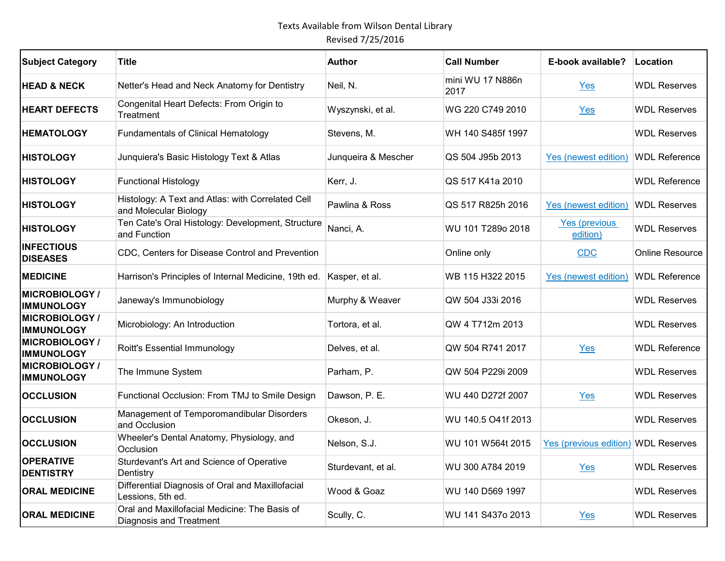| <b>Subject Category</b>                    | <b>Title</b>                                                               | <b>Author</b>       | <b>Call Number</b>       | E-book available?                 | Location             |
|--------------------------------------------|----------------------------------------------------------------------------|---------------------|--------------------------|-----------------------------------|----------------------|
| <b>HEAD &amp; NECK</b>                     | Netter's Head and Neck Anatomy for Dentistry                               | Neil, N.            | mini WU 17 N886n<br>2017 | Yes                               | <b>WDL Reserves</b>  |
| <b>HEART DEFECTS</b>                       | Congenital Heart Defects: From Origin to<br>Treatment                      | Wyszynski, et al.   | WG 220 C749 2010         | Yes                               | <b>WDL Reserves</b>  |
| <b>HEMATOLOGY</b>                          | <b>Fundamentals of Clinical Hematology</b>                                 | Stevens, M.         | WH 140 S485f 1997        |                                   | <b>WDL Reserves</b>  |
| <b>HISTOLOGY</b>                           | Junquiera's Basic Histology Text & Atlas                                   | Junqueira & Mescher | QS 504 J95b 2013         | Yes (newest edition)              | <b>WDL Reference</b> |
| <b>HISTOLOGY</b>                           | <b>Functional Histology</b>                                                | Kerr, J.            | QS 517 K41a 2010         |                                   | <b>WDL Reference</b> |
| <b>HISTOLOGY</b>                           | Histology: A Text and Atlas: with Correlated Cell<br>and Molecular Biology | Pawlina & Ross      | QS 517 R825h 2016        | Yes (newest edition)              | <b>WDL Reserves</b>  |
| <b>HISTOLOGY</b>                           | Ten Cate's Oral Histology: Development, Structure<br>and Function          | Nanci, A.           | WU 101 T289o 2018        | <b>Yes (previous)</b><br>edition) | <b>WDL Reserves</b>  |
| <b>INFECTIOUS</b><br><b>DISEASES</b>       | CDC, Centers for Disease Control and Prevention                            |                     | Online only              | CDC                               | Online Resource      |
| <b>MEDICINE</b>                            | Harrison's Principles of Internal Medicine, 19th ed.                       | Kasper, et al.      | WB 115 H322 2015         | Yes (newest edition)              | <b>WDL Reference</b> |
| <b>MICROBIOLOGY /</b><br><b>IMMUNOLOGY</b> | Janeway's Immunobiology                                                    | Murphy & Weaver     | QW 504 J33i 2016         |                                   | <b>WDL Reserves</b>  |
| <b>MICROBIOLOGY /</b><br><b>IMMUNOLOGY</b> | Microbiology: An Introduction                                              | Tortora, et al.     | QW 4 T712m 2013          |                                   | <b>WDL Reserves</b>  |
| <b>MICROBIOLOGY /</b><br><b>IMMUNOLOGY</b> | Roitt's Essential Immunology                                               | Delves, et al.      | QW 504 R741 2017         | Yes                               | <b>WDL Reference</b> |
| <b>MICROBIOLOGY /</b><br><b>IMMUNOLOGY</b> | The Immune System                                                          | Parham, P.          | QW 504 P229i 2009        |                                   | <b>WDL Reserves</b>  |
| <b>OCCLUSION</b>                           | Functional Occlusion: From TMJ to Smile Design                             | Dawson, P. E.       | WU 440 D272f 2007        | Yes                               | <b>WDL Reserves</b>  |
| <b>OCCLUSION</b>                           | Management of Temporomandibular Disorders<br>and Occlusion                 | Okeson, J.          | WU 140.5 O41f 2013       |                                   | <b>WDL Reserves</b>  |
| <b>OCCLUSION</b>                           | Wheeler's Dental Anatomy, Physiology, and<br>Occlusion                     | Nelson, S.J.        | WU 101 W564t 2015        | Yes (previous edition)            | <b>WDL Reserves</b>  |
| <b>OPERATIVE</b><br><b>DENTISTRY</b>       | Sturdevant's Art and Science of Operative<br>Dentistry                     | Sturdevant, et al.  | WU 300 A784 2019         | Yes                               | <b>WDL Reserves</b>  |
| <b>ORAL MEDICINE</b>                       | Differential Diagnosis of Oral and Maxillofacial<br>Lessions, 5th ed.      | Wood & Goaz         | WU 140 D569 1997         |                                   | <b>WDL Reserves</b>  |
| <b>ORAL MEDICINE</b>                       | Oral and Maxillofacial Medicine: The Basis of<br>Diagnosis and Treatment   | Scully, C.          | WU 141 S437o 2013        | $Yes$                             | <b>WDL Reserves</b>  |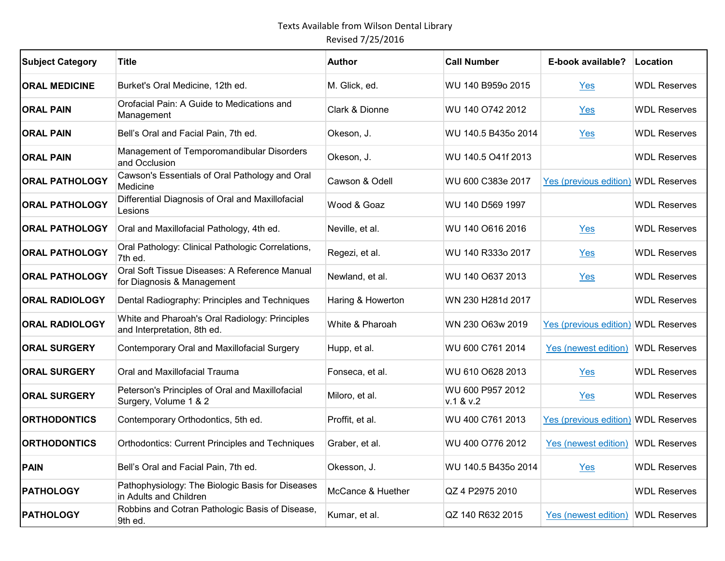| <b>Subject Category</b> | Title                                                                         | <b>Author</b>     | <b>Call Number</b>            | E-book available?      | Location            |
|-------------------------|-------------------------------------------------------------------------------|-------------------|-------------------------------|------------------------|---------------------|
| <b>ORAL MEDICINE</b>    | Burket's Oral Medicine, 12th ed.                                              | M. Glick, ed.     | WU 140 B959o 2015             | Yes                    | <b>WDL Reserves</b> |
| <b>ORAL PAIN</b>        | Orofacial Pain: A Guide to Medications and<br>Management                      | Clark & Dionne    | WU 140 O742 2012              | Yes                    | <b>WDL Reserves</b> |
| <b>ORAL PAIN</b>        | Bell's Oral and Facial Pain, 7th ed.                                          | Okeson, J.        | WU 140.5 B435o 2014           | Yes                    | <b>WDL Reserves</b> |
| <b>ORAL PAIN</b>        | Management of Temporomandibular Disorders<br>and Occlusion                    | Okeson, J.        | WU 140.5 O41f 2013            |                        | <b>WDL Reserves</b> |
| <b>ORAL PATHOLOGY</b>   | Cawson's Essentials of Oral Pathology and Oral<br>Medicine                    | Cawson & Odell    | WU 600 C383e 2017             | Yes (previous edition) | <b>WDL Reserves</b> |
| <b>ORAL PATHOLOGY</b>   | Differential Diagnosis of Oral and Maxillofacial<br>Lesions                   | Wood & Goaz       | WU 140 D569 1997              |                        | <b>WDL Reserves</b> |
| <b>ORAL PATHOLOGY</b>   | Oral and Maxillofacial Pathology, 4th ed.                                     | Neville, et al.   | WU 140 O616 2016              | Yes                    | <b>WDL Reserves</b> |
| <b>ORAL PATHOLOGY</b>   | Oral Pathology: Clinical Pathologic Correlations,<br>7th ed.                  | Regezi, et al.    | WU 140 R333o 2017             | Yes                    | <b>WDL Reserves</b> |
| <b>ORAL PATHOLOGY</b>   | Oral Soft Tissue Diseases: A Reference Manual<br>for Diagnosis & Management   | Newland, et al.   | WU 140 O637 2013              | Yes                    | <b>WDL Reserves</b> |
| <b>ORAL RADIOLOGY</b>   | Dental Radiography: Principles and Techniques                                 | Haring & Howerton | WN 230 H281d 2017             |                        | <b>WDL Reserves</b> |
| <b>ORAL RADIOLOGY</b>   | White and Pharoah's Oral Radiology: Principles<br>and Interpretation, 8th ed. | White & Pharoah   | WN 230 O63w 2019              | Yes (previous edition) | <b>WDL Reserves</b> |
| <b>ORAL SURGERY</b>     | Contemporary Oral and Maxillofacial Surgery                                   | Hupp, et al.      | WU 600 C761 2014              | Yes (newest edition)   | <b>WDL Reserves</b> |
| <b>ORAL SURGERY</b>     | Oral and Maxillofacial Trauma                                                 | Fonseca, et al.   | WU 610 O628 2013              | Yes                    | <b>WDL Reserves</b> |
| <b>ORAL SURGERY</b>     | Peterson's Principles of Oral and Maxillofacial<br>Surgery, Volume 1 & 2      | Miloro, et al.    | WU 600 P957 2012<br>v.1 & v.2 | Yes                    | <b>WDL Reserves</b> |
| <b>ORTHODONTICS</b>     | Contemporary Orthodontics, 5th ed.                                            | Proffit, et al.   | WU 400 C761 2013              | Yes (previous edition) | <b>WDL Reserves</b> |
| <b>ORTHODONTICS</b>     | <b>Orthodontics: Current Principles and Techniques</b>                        | Graber, et al.    | WU 400 O776 2012              | Yes (newest edition)   | <b>WDL Reserves</b> |
| <b>PAIN</b>             | Bell's Oral and Facial Pain, 7th ed.                                          | Okesson, J.       | WU 140.5 B435o 2014           | Yes                    | <b>WDL Reserves</b> |
| <b>PATHOLOGY</b>        | Pathophysiology: The Biologic Basis for Diseases<br>in Adults and Children    | McCance & Huether | QZ 4 P2975 2010               |                        | <b>WDL Reserves</b> |
| <b>PATHOLOGY</b>        | Robbins and Cotran Pathologic Basis of Disease,<br>9th ed.                    | Kumar, et al.     | QZ 140 R632 2015              | Yes (newest edition)   | <b>WDL Reserves</b> |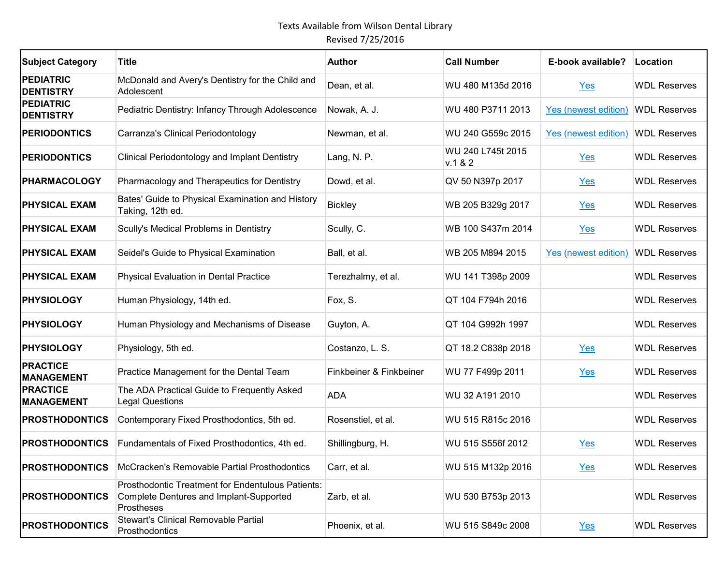| <b>Subject Category</b>              | <b>Title</b>                                                                                                      | <b>Author</b>           | <b>Call Number</b>           | E-book available?    | Location            |
|--------------------------------------|-------------------------------------------------------------------------------------------------------------------|-------------------------|------------------------------|----------------------|---------------------|
| <b>PEDIATRIC</b><br><b>DENTISTRY</b> | McDonald and Avery's Dentistry for the Child and<br>Adolescent                                                    | Dean, et al.            | WU 480 M135d 2016            | Yes                  | <b>WDL Reserves</b> |
| <b>PEDIATRIC</b><br><b>DENTISTRY</b> | Pediatric Dentistry: Infancy Through Adolescence                                                                  | Nowak, A. J.            | WU 480 P3711 2013            | Yes (newest edition) | <b>WDL Reserves</b> |
| <b>PERIODONTICS</b>                  | Carranza's Clinical Periodontology                                                                                | Newman, et al.          | WU 240 G559c 2015            | Yes (newest edition) | <b>WDL Reserves</b> |
| <b>PERIODONTICS</b>                  | Clinical Periodontology and Implant Dentistry                                                                     | Lang, N. P.             | WU 240 L745t 2015<br>v.1 & 2 | Yes                  | <b>WDL Reserves</b> |
| <b>PHARMACOLOGY</b>                  | Pharmacology and Therapeutics for Dentistry                                                                       | Dowd, et al.            | QV 50 N397p 2017             | Yes                  | <b>WDL Reserves</b> |
| <b>PHYSICAL EXAM</b>                 | Bates' Guide to Physical Examination and History<br>Taking, 12th ed.                                              | <b>Bickley</b>          | WB 205 B329g 2017            | Yes                  | <b>WDL Reserves</b> |
| <b>PHYSICAL EXAM</b>                 | Scully's Medical Problems in Dentistry                                                                            | Scully, C.              | WB 100 S437m 2014            | Yes                  | <b>WDL Reserves</b> |
| <b>PHYSICAL EXAM</b>                 | Seidel's Guide to Physical Examination                                                                            | Ball, et al.            | WB 205 M894 2015             | Yes (newest edition) | <b>WDL Reserves</b> |
| <b>PHYSICAL EXAM</b>                 | Physical Evaluation in Dental Practice                                                                            | Terezhalmy, et al.      | WU 141 T398p 2009            |                      | <b>WDL Reserves</b> |
| <b>PHYSIOLOGY</b>                    | Human Physiology, 14th ed.                                                                                        | Fox, S.                 | QT 104 F794h 2016            |                      | <b>WDL Reserves</b> |
| <b>PHYSIOLOGY</b>                    | Human Physiology and Mechanisms of Disease                                                                        | Guyton, A.              | QT 104 G992h 1997            |                      | <b>WDL Reserves</b> |
| <b>PHYSIOLOGY</b>                    | Physiology, 5th ed.                                                                                               | Costanzo, L. S.         | QT 18.2 C838p 2018           | Yes                  | <b>WDL Reserves</b> |
| <b>PRACTICE</b><br><b>MANAGEMENT</b> | Practice Management for the Dental Team                                                                           | Finkbeiner & Finkbeiner | WU 77 F499p 2011             | $Yes$                | <b>WDL Reserves</b> |
| <b>PRACTICE</b><br><b>MANAGEMENT</b> | The ADA Practical Guide to Frequently Asked<br><b>Legal Questions</b>                                             | <b>ADA</b>              | WU 32 A191 2010              |                      | <b>WDL Reserves</b> |
| <b>PROSTHODONTICS</b>                | Contemporary Fixed Prosthodontics, 5th ed.                                                                        | Rosenstiel, et al.      | WU 515 R815c 2016            |                      | <b>WDL Reserves</b> |
| <b>PROSTHODONTICS</b>                | Fundamentals of Fixed Prosthodontics, 4th ed.                                                                     | Shillingburg, H.        | WU 515 S556f 2012            | Yes                  | <b>WDL Reserves</b> |
| <b>PROSTHODONTICS</b>                | McCracken's Removable Partial Prosthodontics                                                                      | Carr, et al.            | WU 515 M132p 2016            | Yes                  | <b>WDL Reserves</b> |
| <b>PROSTHODONTICS</b>                | Prosthodontic Treatment for Endentulous Patients:<br><b>Complete Dentures and Implant-Supported</b><br>Prostheses | Zarb, et al.            | WU 530 B753p 2013            |                      | <b>WDL Reserves</b> |
| <b>PROSTHODONTICS</b>                | Stewart's Clinical Removable Partial<br>Prosthodontics                                                            | Phoenix, et al.         | WU 515 S849c 2008            | Yes                  | <b>WDL Reserves</b> |